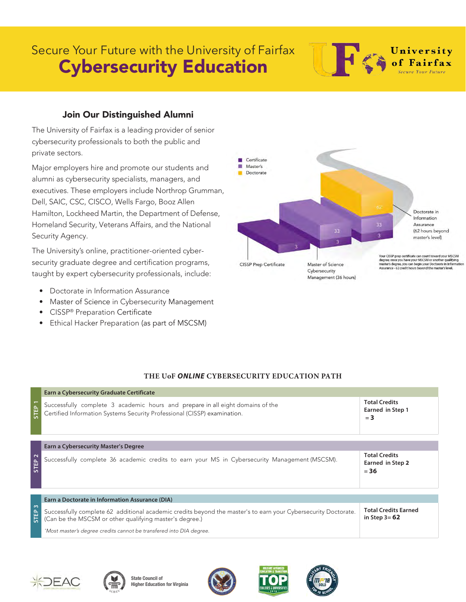## Secure Your Future with the University of Fairfax Cybersecurity Education

### Join Our Distinguished Alumni

The University of Fairfax is a leading provider of senior cybersecurity professionals to both the public and private sectors.

Major employers hire and promote our students and alumni as cybersecurity specialists, managers, and executives. These employers include Northrop Grumman, Dell, SAIC, CSC, CISCO, Wells Fargo, Booz Allen Hamilton, Lockheed Martin, the Department of Defense, Homeland Security, Veterans Affairs, and the National Security Agency.

The University's online, practitioner-oriented cybersecurity graduate degree and certification programs, taught by expert cybersecurity professionals, include:

- Doctorate in Information Assurance
- Master of Science in Cybersecurity Management
- CISSP® Preparation Certificate
- Ethical Hacker Preparation (as part of MSCSM)

#### **THE UoF** *ONLINE* **CYBERSECURITY EDUCATION PATH**

|                                                 | Earn a Cybersecurity Graduate Certificate                                                                                                                                 |                                                    |  |
|-------------------------------------------------|---------------------------------------------------------------------------------------------------------------------------------------------------------------------------|----------------------------------------------------|--|
| STEP <sub>1</sub>                               | Successfully complete 3 academic hours and prepare in all eight domains of the<br>Certified Information Systems Security Professional (CISSP) examination.                | <b>Total Credits</b><br>Earned in Step 1<br>$= 3$  |  |
|                                                 | Earn a Cybersecurity Master's Degree                                                                                                                                      |                                                    |  |
| $\sim$<br><b>STEP</b>                           | Successfully complete 36 academic credits to earn your MS in Cybersecurity Management (MSCSM).                                                                            | <b>Total Credits</b><br>Earned in Step 2<br>$= 36$ |  |
| Earn a Doctorate in Information Assurance (DIA) |                                                                                                                                                                           |                                                    |  |
| ന<br>STEP                                       | Successfully complete 62 additional academic credits beyond the master's to earn your Cybersecurity Doctorate.<br>(Can be the MSCSM or other qualifying master's degree.) | <b>Total Credits Earned</b><br>in Step $3 = 62$    |  |
|                                                 | *Most master's degree credits cannot be transfered into DIA degree.                                                                                                       |                                                    |  |











University<br>
of Fairfax